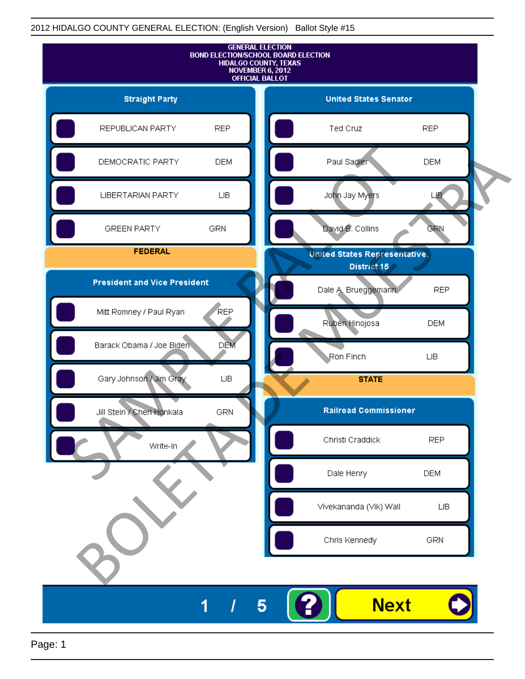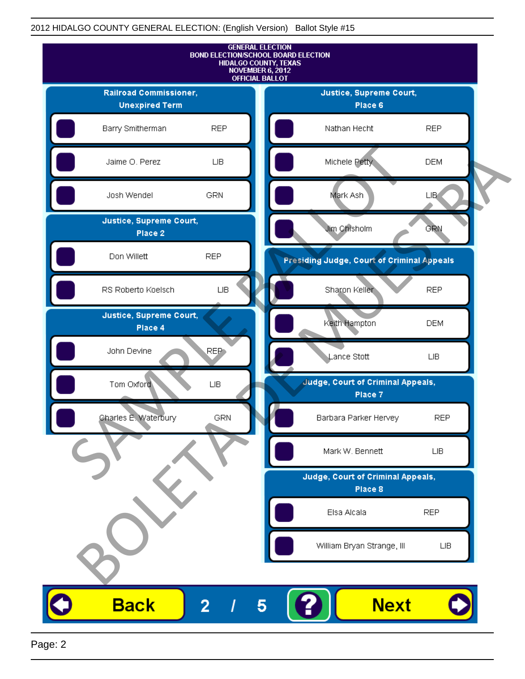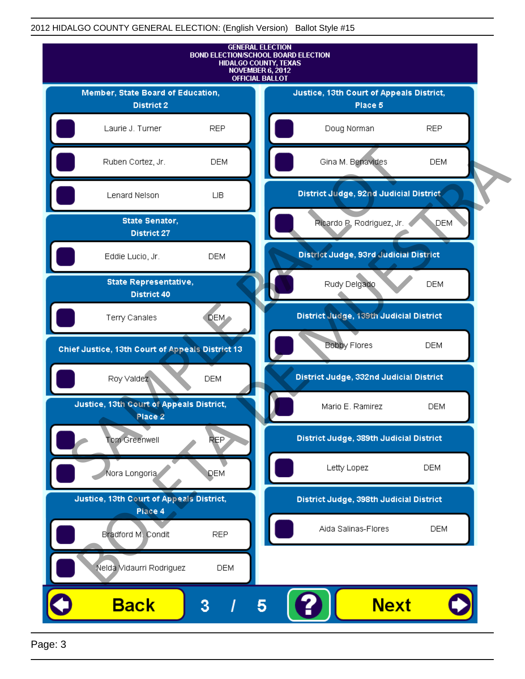

Page: 3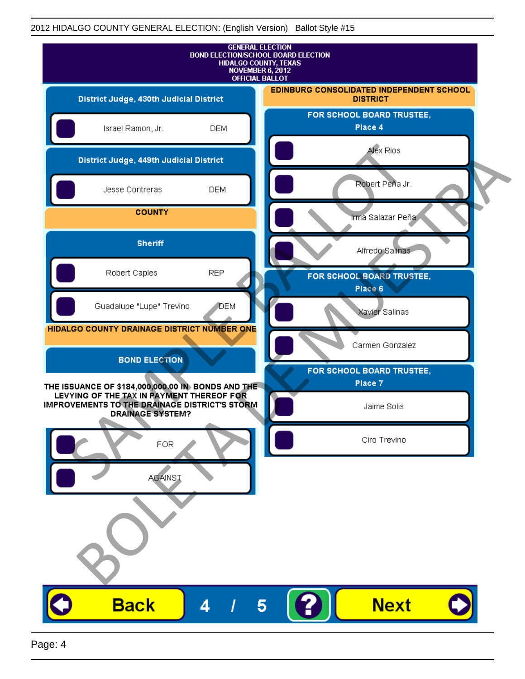| <b>GENERAL ELECTION</b><br><b>BOND ELECTION/SCHOOL BOARD ELECTION</b><br>HIDALGO COUNTY, TEXAS<br>NOVEMBER 6, 2012<br><b>OFFICIAL BALLOT</b>    |              |                                                             |
|-------------------------------------------------------------------------------------------------------------------------------------------------|--------------|-------------------------------------------------------------|
| District Judge, 430th Judicial District                                                                                                         |              | EDINBURG CONSOLIDATED INDEPENDENT SCHOOL<br><b>DISTRICT</b> |
| Israel Ramon, Jr.                                                                                                                               | <b>DEM</b>   | FOR SCHOOL BOARD TRUSTEE,<br>Place 4                        |
| District Judge, 449th Judicial District                                                                                                         |              | Alex Rios                                                   |
| Jesse Contreras                                                                                                                                 | <b>DEM</b>   | Robert Peña Jr.                                             |
| <b>COUNTY</b>                                                                                                                                   |              | Irma Salazar Peña                                           |
| <b>Sheriff</b>                                                                                                                                  |              | Alfredo Salinas                                             |
| Robert Caples                                                                                                                                   | <b>REP</b>   | FOR SCHOOL BOARD TRUSTEE,<br>Place 6                        |
| Guadalupe "Lupe" Trevino                                                                                                                        | <b>J</b> DEM | Xavier Salinas                                              |
| HIDALGO COUNTY DRAINAGE DISTRICT NUMBER ONE                                                                                                     |              | Carmen Gonzalez                                             |
| <b>BOND ELECTION</b>                                                                                                                            |              | FOR SCHOOL BOARD TRUSTEE,                                   |
| THE ISSUANCE OF \$184,000,000.00 IN BONDS AND THE<br>LEVYING OF THE TAX IN PAYMENT THEREOF FOR<br>IMPROVEMENTS TO THE DRAINAGE DISTRICT'S STORM |              | Place 7<br>Jaime Solis                                      |
| <b>DRAINAGE SYSTEM?</b>                                                                                                                         |              |                                                             |
| FOR                                                                                                                                             |              | Ciro Trevino                                                |
| <b>AGAINST</b>                                                                                                                                  |              |                                                             |
|                                                                                                                                                 |              |                                                             |
|                                                                                                                                                 |              |                                                             |
|                                                                                                                                                 |              |                                                             |
| <b>Back</b>                                                                                                                                     | 4            | <b>Next</b><br>5                                            |
|                                                                                                                                                 |              |                                                             |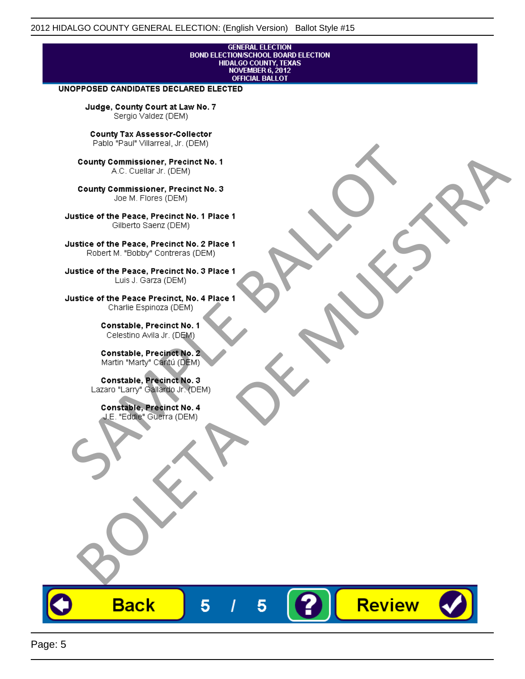# **GENERAL ELECTION** BOND ELECTIONSCHOOL BOARD ELECTION<br>HIDALGO COUNTY, TEXAS<br>NOVEMBER 6, 2012<br>OFFICIAL BALLOT

Review

#### UNOPPOSED CANDIDATES DECLARED ELECTED

Judge, County Court at Law No. 7 Sergio Valdez (DEM)

County Tax Assessor-Collector

Frame The Passe, Precinct No. 1<br>
County Commissioner, Precinct No. 1<br>
SC. Cutellar Jr. (DEM)<br>
County Commissioner, Precinct No. 2<br>
Ulastice of the Peace, Precinct No. 2<br>
Ulastice of the Peace, Precinct No. 2<br>
Robert M. "Bl County Commissioner, Precinat No. 1<br>
A County Commissioner, Precinat No. 3<br>
Use of the Peace, Precinat No. 3<br>
Use of the Peace, Precinat No. 1<br>
There is a precinc No. 2<br>
There is a precinc No. 2<br>
There is a precinc No. 2<br>

**Back** 

5

5

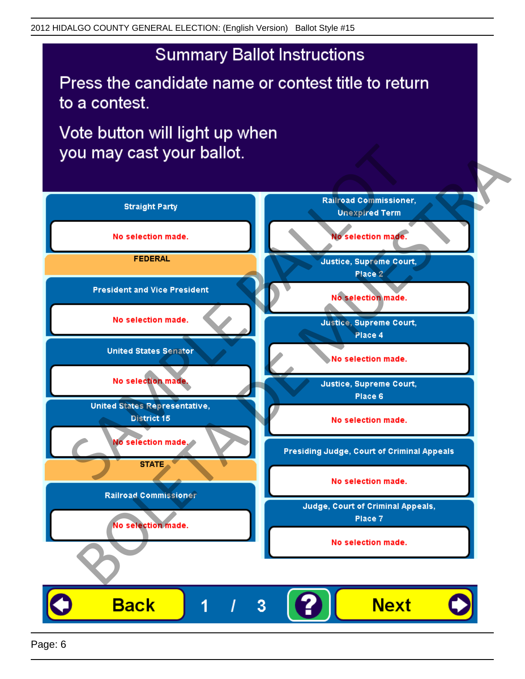## **Summary Ballot Instructions**

Press the candidate name or contest title to return to a contest.

Vote button will light up when

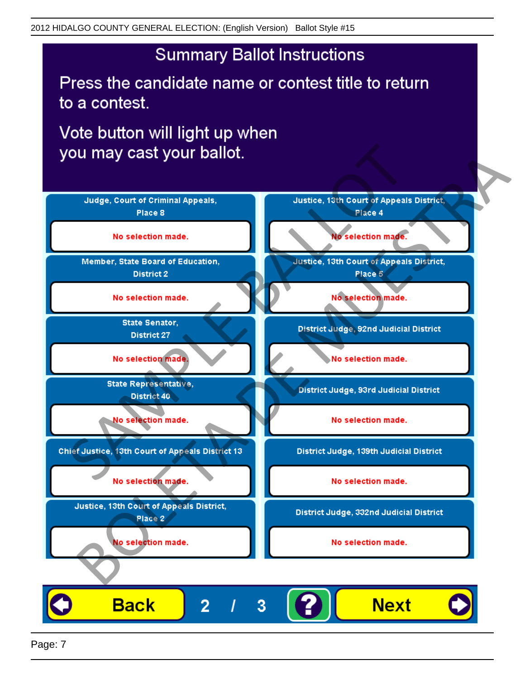## **Summary Ballot Instructions**

Press the candidate name or contest title to return to a contest.

Vote button will light up when